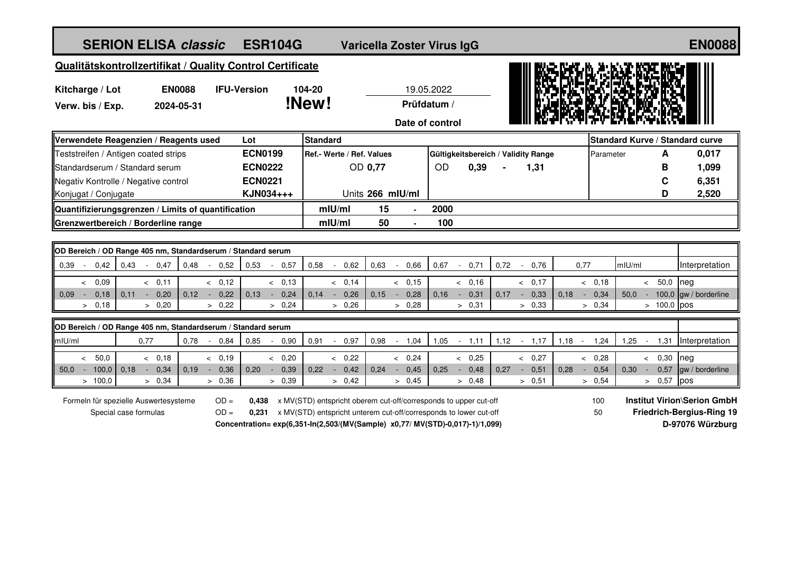| <b>SERION ELISA classic</b>                                                                            | <b>ESR104G</b>               | Varicella Zoster Virus IgG                                                                                                                                                                                            |                  |                          |                           |                | <b>EN0088</b>                            |                                                                                            |                   |                |               |                                 |
|--------------------------------------------------------------------------------------------------------|------------------------------|-----------------------------------------------------------------------------------------------------------------------------------------------------------------------------------------------------------------------|------------------|--------------------------|---------------------------|----------------|------------------------------------------|--------------------------------------------------------------------------------------------|-------------------|----------------|---------------|---------------------------------|
| Qualitätskontrollzertifikat / Quality Control Certificate                                              |                              |                                                                                                                                                                                                                       |                  |                          |                           |                |                                          |                                                                                            |                   |                |               |                                 |
| Kitcharge / Lot<br><b>EN0088</b><br>Verw. bis / Exp.<br>2024-05-31                                     | <b>IFU-Version</b><br>104-20 | !New!                                                                                                                                                                                                                 |                  |                          | 19.05.2022<br>Prüfdatum / |                |                                          |                                                                                            |                   |                |               |                                 |
|                                                                                                        |                              | <b>Standard</b>                                                                                                                                                                                                       |                  |                          | Date of control           |                |                                          |                                                                                            |                   |                |               | Standard Kurve / Standard curve |
| Verwendete Reagenzien / Reagents used<br>Teststreifen / Antigen coated strips                          | Lot<br><b>ECN0199</b>        | Ref.- Werte / Ref. Values                                                                                                                                                                                             |                  |                          |                           |                | Gültigkeitsbereich / Validity Range      |                                                                                            | Parameter         |                | A             | 0,017                           |
| Standardserum / Standard serum                                                                         | <b>ECN0222</b>               |                                                                                                                                                                                                                       | OD 0,77          |                          | <b>OD</b>                 | 0,39           | 1,31                                     |                                                                                            |                   |                | B             | 1,099                           |
| Negativ Kontrolle / Negative control                                                                   | <b>ECN0221</b>               |                                                                                                                                                                                                                       |                  |                          |                           |                |                                          |                                                                                            |                   |                | C             | 6,351                           |
| Konjugat / Conjugate                                                                                   | KJN034+++                    |                                                                                                                                                                                                                       | Units 266 mIU/ml |                          |                           |                |                                          |                                                                                            |                   |                | D             | 2,520                           |
| Quantifizierungsgrenzen / Limits of quantification                                                     |                              | $ml$ U/ml                                                                                                                                                                                                             | 15               | $\overline{a}$           | 2000                      |                |                                          |                                                                                            |                   |                |               |                                 |
| Grenzwertbereich / Borderline range                                                                    |                              | $m$ IU/ml                                                                                                                                                                                                             | 50               | $\overline{a}$           | 100                       |                |                                          |                                                                                            |                   |                |               |                                 |
|                                                                                                        |                              |                                                                                                                                                                                                                       |                  |                          |                           |                |                                          |                                                                                            |                   |                |               |                                 |
| OD Bereich / OD Range 405 nm, Standardserum / Standard serum                                           |                              | 0,58                                                                                                                                                                                                                  |                  |                          |                           | 0,71           | 0,72                                     |                                                                                            |                   | mIU/ml         |               |                                 |
| 0,42<br>0,43<br>0,48<br>0,39<br>$-0,47$<br>0,52                                                        | 0,53<br>0,57                 | 0,62                                                                                                                                                                                                                  | 0,63             | 0,66                     | 0,67<br>$\omega$          |                | 0,76<br>$\sim$                           | 0,77                                                                                       |                   |                |               | Interpretation                  |
| < 0.09<br>& 0.11<br>& 0.12<br>0,18<br>0,12<br>0,11<br>0,20<br>0,22<br>$0.09 -$<br>$\sim$ $-$<br>$\sim$ | & 0,13<br>0,13<br>$-0,24$    | & 0,14<br>0,14<br>$-0,26$                                                                                                                                                                                             | 0,15             | & 0,15<br>0,28<br>$\sim$ | 0,16<br>$\sim$            | & 0.16<br>0,31 | & 0,17<br>0,17<br>0,33<br>$\sim$ $^{-1}$ | 0,18                                                                                       | < 0,18<br>$-0,34$ | 50,0           | $< 50,0$ neg  | $-100,0$ gw / borderline        |
| > 0,22<br>> 0,18<br>> 0,20                                                                             | > 0,24                       | > 0,26                                                                                                                                                                                                                |                  | > 0,28                   |                           | > 0,31         | > 0,33                                   |                                                                                            | > 0,34            |                | $> 100,0$ pos |                                 |
| OD Bereich / OD Range 405 nm, Standardserum / Standard serum                                           |                              |                                                                                                                                                                                                                       |                  |                          |                           |                |                                          |                                                                                            |                   |                |               |                                 |
| mIU/ml<br>0,77<br>0,78<br>0,84<br>$\sim$                                                               | 0.85<br>0,90                 | 0,91<br>0.97<br>$\sim$                                                                                                                                                                                                | 0,98             | 1,04                     | 1,05                      | $-1,11$        | 1,12<br>$-1,17$                          | $1,18 -$                                                                                   | 1,24              | 1,25<br>$\sim$ | 1,31          | Interpretation                  |
| < 50.0<br>& 0.18<br>& 0.19                                                                             | < 0.20                       | & 0.22                                                                                                                                                                                                                |                  | & 0,24                   |                           | & 0.25         | & 0.27                                   |                                                                                            | & 0.28            | $\leq$         | 0,30          | neg                             |
| 100,0<br>$50.0 -$<br>0,18<br>0,34<br>0.19<br>0,36<br>$\sim$<br>$\sim$                                  | 0,20<br>$-0.39$              | 0.22<br>0,42<br>$\sim$                                                                                                                                                                                                | 0,24             | 0,45<br>$\sim$           | 0,25<br>$\sim$            | 0,48           | 0.27<br>0,51<br>$\sim$                   | 0,28<br>$\sim$                                                                             | 0,54              | 0,30<br>$\sim$ | 0,57          | gw / borderline                 |
| > 100,0<br>> 0,34<br>> 0,36                                                                            | > 0,39                       | > 0,42                                                                                                                                                                                                                |                  | > 0,45                   |                           | > 0,48         | > 0.51                                   |                                                                                            | > 0,54            |                | > 0,57        | pos                             |
| Formeln für spezielle Auswertesysteme<br>$OD =$<br>$OD =$<br>Special case formulas                     |                              | x MV(STD) entspricht oberem cut-off/corresponds to upper cut-off<br>x MV(STD) entspricht unterem cut-off/corresponds to lower cut-off<br>Concentration=exp(6,351-In(2,503/(MV(Sample) x0,77/ MV(STD)-0,017)-1)/1,099) |                  |                          |                           |                | 100<br>50                                | <b>Institut Virion\Serion GmbH</b><br><b>Friedrich-Bergius-Ring 19</b><br>D-97076 Würzburg |                   |                |               |                                 |
|                                                                                                        |                              |                                                                                                                                                                                                                       |                  |                          |                           |                |                                          |                                                                                            |                   |                |               |                                 |